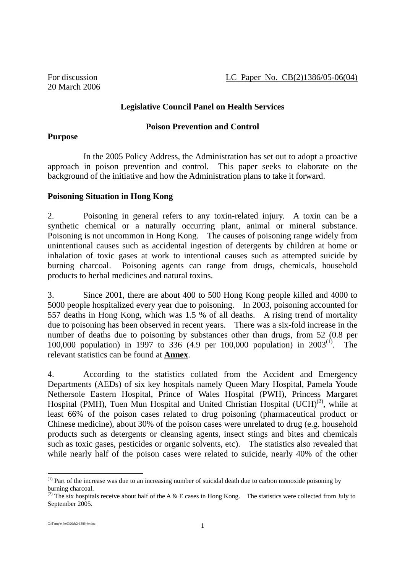#### **Legislative Council Panel on Health Services**

#### **Poison Prevention and Control**

#### **Purpose**

 In the 2005 Policy Address, the Administration has set out to adopt a proactive approach in poison prevention and control. This paper seeks to elaborate on the background of the initiative and how the Administration plans to take it forward.

#### **Poisoning Situation in Hong Kong**

2. Poisoning in general refers to any toxin-related injury. A toxin can be a synthetic chemical or a naturally occurring plant, animal or mineral substance. Poisoning is not uncommon in Hong Kong. The causes of poisoning range widely from unintentional causes such as accidental ingestion of detergents by children at home or inhalation of toxic gases at work to intentional causes such as attempted suicide by burning charcoal. Poisoning agents can range from drugs, chemicals, household products to herbal medicines and natural toxins.

3. Since 2001, there are about 400 to 500 Hong Kong people killed and 4000 to 5000 people hospitalized every year due to poisoning. In 2003, poisoning accounted for 557 deaths in Hong Kong, which was 1.5 % of all deaths. A rising trend of mortality due to poisoning has been observed in recent years. There was a six-fold increase in the number of deaths due to poisoning by substances other than drugs, from 52 (0.8 per 100,000 population) in 1997 to 336 (4.9 per 100,000 population) in 2003(1). The relevant statistics can be found at **Annex**.

4. According to the statistics collated from the Accident and Emergency Departments (AEDs) of six key hospitals namely Queen Mary Hospital, Pamela Youde Nethersole Eastern Hospital, Prince of Wales Hospital (PWH), Princess Margaret Hospital (PMH), Tuen Mun Hospital and United Christian Hospital  $(UCH)^{(2)}$ , while at least 66% of the poison cases related to drug poisoning (pharmaceutical product or Chinese medicine), about 30% of the poison cases were unrelated to drug (e.g. household products such as detergents or cleansing agents, insect stings and bites and chemicals such as toxic gases, pesticides or organic solvents, etc). The statistics also revealed that while nearly half of the poison cases were related to suicide, nearly 40% of the other

-

<sup>(1)</sup> Part of the increase was due to an increasing number of suicidal death due to carbon monoxide poisoning by burning charcoal.

<sup>(2)</sup> The six hospitals receive about half of the A  $&$  E cases in Hong Kong. The statistics were collected from July to September 2005.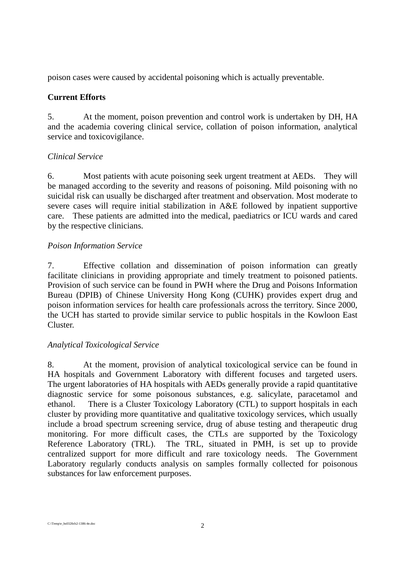poison cases were caused by accidental poisoning which is actually preventable.

# **Current Efforts**

5. At the moment, poison prevention and control work is undertaken by DH, HA and the academia covering clinical service, collation of poison information, analytical service and toxicovigilance.

## *Clinical Service*

6. Most patients with acute poisoning seek urgent treatment at AEDs. They will be managed according to the severity and reasons of poisoning. Mild poisoning with no suicidal risk can usually be discharged after treatment and observation. Most moderate to severe cases will require initial stabilization in A&E followed by inpatient supportive care. These patients are admitted into the medical, paediatrics or ICU wards and cared by the respective clinicians.

#### *Poison Information Service*

7. Effective collation and dissemination of poison information can greatly facilitate clinicians in providing appropriate and timely treatment to poisoned patients. Provision of such service can be found in PWH where the Drug and Poisons Information Bureau (DPIB) of Chinese University Hong Kong (CUHK) provides expert drug and poison information services for health care professionals across the territory. Since 2000, the UCH has started to provide similar service to public hospitals in the Kowloon East Cluster.

# *Analytical Toxicological Service*

8. At the moment, provision of analytical toxicological service can be found in HA hospitals and Government Laboratory with different focuses and targeted users. The urgent laboratories of HA hospitals with AEDs generally provide a rapid quantitative diagnostic service for some poisonous substances, e.g. salicylate, paracetamol and ethanol. There is a Cluster Toxicology Laboratory (CTL) to support hospitals in each cluster by providing more quantitative and qualitative toxicology services, which usually include a broad spectrum screening service, drug of abuse testing and therapeutic drug monitoring. For more difficult cases, the CTLs are supported by the Toxicology Reference Laboratory (TRL). The TRL, situated in PMH, is set up to provide centralized support for more difficult and rare toxicology needs. The Government Laboratory regularly conducts analysis on samples formally collected for poisonous substances for law enforcement purposes.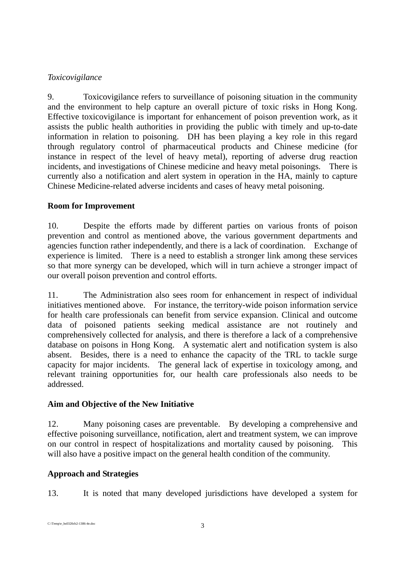## *Toxicovigilance*

9. Toxicovigilance refers to surveillance of poisoning situation in the community and the environment to help capture an overall picture of toxic risks in Hong Kong. Effective toxicovigilance is important for enhancement of poison prevention work, as it assists the public health authorities in providing the public with timely and up-to-date information in relation to poisoning. DH has been playing a key role in this regard through regulatory control of pharmaceutical products and Chinese medicine (for instance in respect of the level of heavy metal), reporting of adverse drug reaction incidents, and investigations of Chinese medicine and heavy metal poisonings. There is currently also a notification and alert system in operation in the HA, mainly to capture Chinese Medicine-related adverse incidents and cases of heavy metal poisoning.

# **Room for Improvement**

10. Despite the efforts made by different parties on various fronts of poison prevention and control as mentioned above, the various government departments and agencies function rather independently, and there is a lack of coordination. Exchange of experience is limited. There is a need to establish a stronger link among these services so that more synergy can be developed, which will in turn achieve a stronger impact of our overall poison prevention and control efforts.

11. The Administration also sees room for enhancement in respect of individual initiatives mentioned above. For instance, the territory-wide poison information service for health care professionals can benefit from service expansion. Clinical and outcome data of poisoned patients seeking medical assistance are not routinely and comprehensively collected for analysis, and there is therefore a lack of a comprehensive database on poisons in Hong Kong. A systematic alert and notification system is also absent. Besides, there is a need to enhance the capacity of the TRL to tackle surge capacity for major incidents. The general lack of expertise in toxicology among, and relevant training opportunities for, our health care professionals also needs to be addressed.

# **Aim and Objective of the New Initiative**

12. Many poisoning cases are preventable. By developing a comprehensive and effective poisoning surveillance, notification, alert and treatment system, we can improve on our control in respect of hospitalizations and mortality caused by poisoning. This will also have a positive impact on the general health condition of the community.

# **Approach and Strategies**

13. It is noted that many developed jurisdictions have developed a system for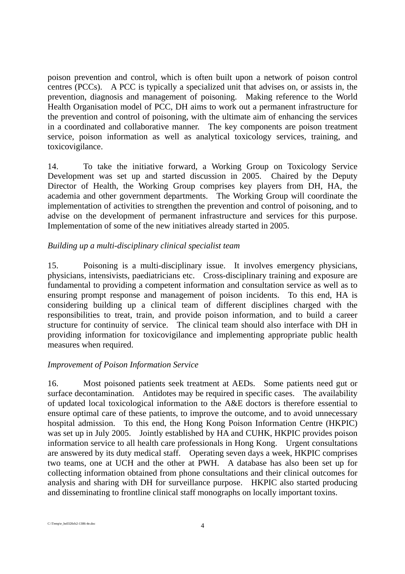poison prevention and control, which is often built upon a network of poison control centres (PCCs). A PCC is typically a specialized unit that advises on, or assists in, the prevention, diagnosis and management of poisoning. Making reference to the World Health Organisation model of PCC, DH aims to work out a permanent infrastructure for the prevention and control of poisoning, with the ultimate aim of enhancing the services in a coordinated and collaborative manner. The key components are poison treatment service, poison information as well as analytical toxicology services, training, and toxicovigilance.

14. To take the initiative forward, a Working Group on Toxicology Service Development was set up and started discussion in 2005. Chaired by the Deputy Director of Health, the Working Group comprises key players from DH, HA, the academia and other government departments. The Working Group will coordinate the implementation of activities to strengthen the prevention and control of poisoning, and to advise on the development of permanent infrastructure and services for this purpose. Implementation of some of the new initiatives already started in 2005.

#### *Building up a multi-disciplinary clinical specialist team*

15. Poisoning is a multi-disciplinary issue. It involves emergency physicians, physicians, intensivists, paediatricians etc. Cross-disciplinary training and exposure are fundamental to providing a competent information and consultation service as well as to ensuring prompt response and management of poison incidents. To this end, HA is considering building up a clinical team of different disciplines charged with the responsibilities to treat, train, and provide poison information, and to build a career structure for continuity of service. The clinical team should also interface with DH in providing information for toxicovigilance and implementing appropriate public health measures when required.

#### *Improvement of Poison Information Service*

16. Most poisoned patients seek treatment at AEDs. Some patients need gut or surface decontamination. Antidotes may be required in specific cases. The availability of updated local toxicological information to the A&E doctors is therefore essential to ensure optimal care of these patients, to improve the outcome, and to avoid unnecessary hospital admission. To this end, the Hong Kong Poison Information Centre (HKPIC) was set up in July 2005. Jointly established by HA and CUHK, HKPIC provides poison information service to all health care professionals in Hong Kong. Urgent consultations are answered by its duty medical staff. Operating seven days a week, HKPIC comprises two teams, one at UCH and the other at PWH. A database has also been set up for collecting information obtained from phone consultations and their clinical outcomes for analysis and sharing with DH for surveillance purpose. HKPIC also started producing and disseminating to frontline clinical staff monographs on locally important toxins.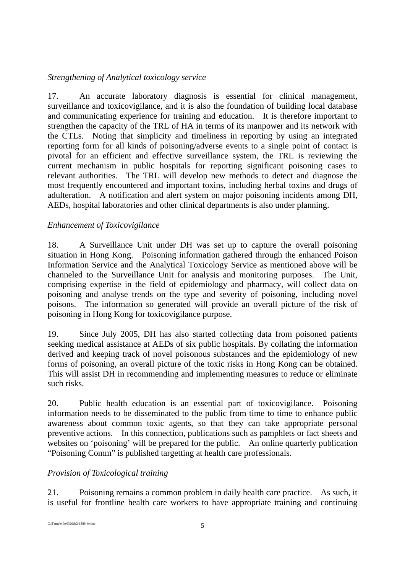## *Strengthening of Analytical toxicology service*

17. An accurate laboratory diagnosis is essential for clinical management, surveillance and toxicovigilance, and it is also the foundation of building local database and communicating experience for training and education. It is therefore important to strengthen the capacity of the TRL of HA in terms of its manpower and its network with the CTLs. Noting that simplicity and timeliness in reporting by using an integrated reporting form for all kinds of poisoning/adverse events to a single point of contact is pivotal for an efficient and effective surveillance system, the TRL is reviewing the current mechanism in public hospitals for reporting significant poisoning cases to relevant authorities. The TRL will develop new methods to detect and diagnose the most frequently encountered and important toxins, including herbal toxins and drugs of adulteration. A notification and alert system on major poisoning incidents among DH, AEDs, hospital laboratories and other clinical departments is also under planning.

## *Enhancement of Toxicovigilance*

18. A Surveillance Unit under DH was set up to capture the overall poisoning situation in Hong Kong. Poisoning information gathered through the enhanced Poison Information Service and the Analytical Toxicology Service as mentioned above will be channeled to the Surveillance Unit for analysis and monitoring purposes. The Unit, comprising expertise in the field of epidemiology and pharmacy, will collect data on poisoning and analyse trends on the type and severity of poisoning, including novel poisons. The information so generated will provide an overall picture of the risk of poisoning in Hong Kong for toxicovigilance purpose.

19. Since July 2005, DH has also started collecting data from poisoned patients seeking medical assistance at AEDs of six public hospitals. By collating the information derived and keeping track of novel poisonous substances and the epidemiology of new forms of poisoning, an overall picture of the toxic risks in Hong Kong can be obtained. This will assist DH in recommending and implementing measures to reduce or eliminate such risks.

20. Public health education is an essential part of toxicovigilance. Poisoning information needs to be disseminated to the public from time to time to enhance public awareness about common toxic agents, so that they can take appropriate personal preventive actions. In this connection, publications such as pamphlets or fact sheets and websites on 'poisoning' will be prepared for the public. An online quarterly publication "Poisoning Comm" is published targetting at health care professionals.

# *Provision of Toxicological training*

21. Poisoning remains a common problem in daily health care practice. As such, it is useful for frontline health care workers to have appropriate training and continuing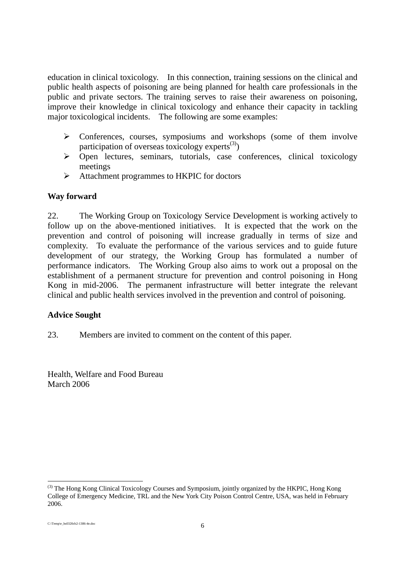education in clinical toxicology. In this connection, training sessions on the clinical and public health aspects of poisoning are being planned for health care professionals in the public and private sectors. The training serves to raise their awareness on poisoning, improve their knowledge in clinical toxicology and enhance their capacity in tackling major toxicological incidents. The following are some examples:

- $\triangleright$  Conferences, courses, symposiums and workshops (some of them involve participation of overseas toxicology experts<sup>(3)</sup>)
- ! Open lectures, seminars, tutorials, case conferences, clinical toxicology meetings
- $\triangleright$  Attachment programmes to HKPIC for doctors

#### **Way forward**

22. The Working Group on Toxicology Service Development is working actively to follow up on the above-mentioned initiatives. It is expected that the work on the prevention and control of poisoning will increase gradually in terms of size and complexity. To evaluate the performance of the various services and to guide future development of our strategy, the Working Group has formulated a number of performance indicators. The Working Group also aims to work out a proposal on the establishment of a permanent structure for prevention and control poisoning in Hong Kong in mid-2006. The permanent infrastructure will better integrate the relevant clinical and public health services involved in the prevention and control of poisoning.

#### **Advice Sought**

23. Members are invited to comment on the content of this paper.

Health, Welfare and Food Bureau March 2006

<sup>1</sup> <sup>(3)</sup> The Hong Kong Clinical Toxicology Courses and Symposium, jointly organized by the HKPIC, Hong Kong College of Emergency Medicine, TRL and the New York City Poison Control Centre, USA, was held in February 2006.